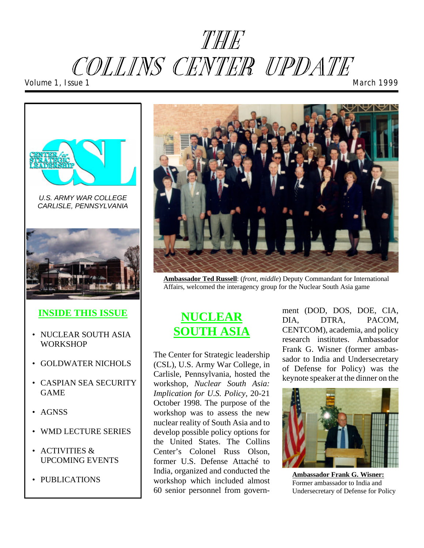# THE COLLINS CENTER UPDATE *Volume 1, Issue 1 March 1999*



*U.S. ARMY WAR COLLEGE CARLISLE, PENNSYLVANIA* 



#### **INSIDE THIS ISSUE**

- NUCLEAR SOUTH ASIA **WORKSHOP**
- GOLDWATER NICHOLS
- CASPIAN SEA SECURITY GAME
- AGNSS
- WMD LECTURE SERIES
- ACTIVITIES & UPCOMING EVENTS
- PUBLICATIONS



**Ambassador Ted Russell**: (*front, middle*) Deputy Commandant for International Affairs, welcomed the interagency group for the Nuclear South Asia game

#### **NUCLEAR SOUTH ASIA**

The Center for Strategic leadership (CSL), U.S. Army War College, in Carlisle, Pennsylvania, hosted the workshop, *Nuclear South Asia: Implication for U.S. Policy,* 20-21 October 1998. The purpose of the workshop was to assess the new nuclear reality of South Asia and to develop possible policy options for the United States. The Collins Center's Colonel Russ Olson, former U.S. Defense Attaché to India, organized and conducted the workshop which included almost 60 senior personnel from govern-

ment (DOD, DOS, DOE, CIA, DIA, DTRA, PACOM, CENTCOM), academia, and policy research institutes. Ambassador Frank G. Wisner (former ambassador to India and Undersecretary of Defense for Policy) was the keynote speaker at the dinner on the



**Ambassador Frank G. Wisner:**  Former ambassador to India and Undersecretary of Defense for Policy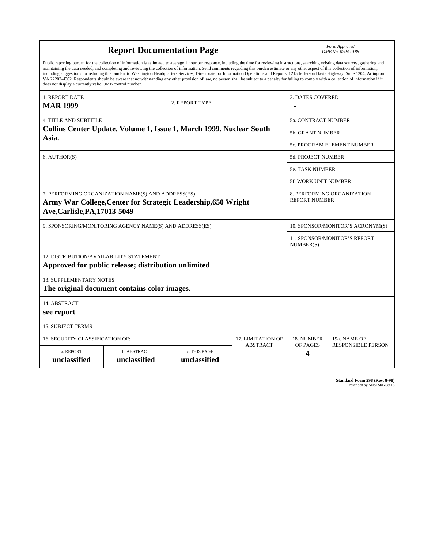| <b>Report Documentation Page</b>                                                                                                                                                                                                                                                                                                                                                                                                                                                                                                                                                                                                                                                                                                                                                                                                                                   |                             |                              |                            | Form Approved<br>OMB No. 0704-0188                 |                           |  |
|--------------------------------------------------------------------------------------------------------------------------------------------------------------------------------------------------------------------------------------------------------------------------------------------------------------------------------------------------------------------------------------------------------------------------------------------------------------------------------------------------------------------------------------------------------------------------------------------------------------------------------------------------------------------------------------------------------------------------------------------------------------------------------------------------------------------------------------------------------------------|-----------------------------|------------------------------|----------------------------|----------------------------------------------------|---------------------------|--|
| Public reporting burden for the collection of information is estimated to average 1 hour per response, including the time for reviewing instructions, searching existing data sources, gathering and<br>maintaining the data needed, and completing and reviewing the collection of information. Send comments regarding this burden estimate or any other aspect of this collection of information,<br>including suggestions for reducing this burden, to Washington Headquarters Services, Directorate for Information Operations and Reports, 1215 Jefferson Davis Highway, Suite 1204, Arlington<br>VA 22202-4302. Respondents should be aware that notwithstanding any other provision of law, no person shall be subject to a penalty for failing to comply with a collection of information if it<br>does not display a currently valid OMB control number. |                             |                              |                            |                                                    |                           |  |
| <b>1. REPORT DATE</b><br><b>MAR 1999</b>                                                                                                                                                                                                                                                                                                                                                                                                                                                                                                                                                                                                                                                                                                                                                                                                                           |                             | 2. REPORT TYPE               |                            | <b>3. DATES COVERED</b>                            |                           |  |
| <b>4. TITLE AND SUBTITLE</b>                                                                                                                                                                                                                                                                                                                                                                                                                                                                                                                                                                                                                                                                                                                                                                                                                                       |                             |                              |                            | <b>5a. CONTRACT NUMBER</b>                         |                           |  |
| Collins Center Update. Volume 1, Issue 1, March 1999. Nuclear South<br>Asia.                                                                                                                                                                                                                                                                                                                                                                                                                                                                                                                                                                                                                                                                                                                                                                                       |                             |                              |                            | <b>5b. GRANT NUMBER</b>                            |                           |  |
|                                                                                                                                                                                                                                                                                                                                                                                                                                                                                                                                                                                                                                                                                                                                                                                                                                                                    |                             |                              | 5c. PROGRAM ELEMENT NUMBER |                                                    |                           |  |
| 6. AUTHOR(S)                                                                                                                                                                                                                                                                                                                                                                                                                                                                                                                                                                                                                                                                                                                                                                                                                                                       |                             |                              |                            | <b>5d. PROJECT NUMBER</b>                          |                           |  |
|                                                                                                                                                                                                                                                                                                                                                                                                                                                                                                                                                                                                                                                                                                                                                                                                                                                                    |                             |                              |                            | 5e. TASK NUMBER                                    |                           |  |
|                                                                                                                                                                                                                                                                                                                                                                                                                                                                                                                                                                                                                                                                                                                                                                                                                                                                    |                             |                              |                            | <b>5f. WORK UNIT NUMBER</b>                        |                           |  |
| 7. PERFORMING ORGANIZATION NAME(S) AND ADDRESS(ES)<br>Army War College, Center for Strategic Leadership, 650 Wright<br>Ave, Carlisle, PA, 17013-5049                                                                                                                                                                                                                                                                                                                                                                                                                                                                                                                                                                                                                                                                                                               |                             |                              |                            | 8. PERFORMING ORGANIZATION<br><b>REPORT NUMBER</b> |                           |  |
| 9. SPONSORING/MONITORING AGENCY NAME(S) AND ADDRESS(ES)                                                                                                                                                                                                                                                                                                                                                                                                                                                                                                                                                                                                                                                                                                                                                                                                            |                             |                              |                            | 10. SPONSOR/MONITOR'S ACRONYM(S)                   |                           |  |
|                                                                                                                                                                                                                                                                                                                                                                                                                                                                                                                                                                                                                                                                                                                                                                                                                                                                    |                             |                              |                            | 11. SPONSOR/MONITOR'S REPORT<br>NUMBER(S)          |                           |  |
| 12. DISTRIBUTION/AVAILABILITY STATEMENT<br>Approved for public release; distribution unlimited                                                                                                                                                                                                                                                                                                                                                                                                                                                                                                                                                                                                                                                                                                                                                                     |                             |                              |                            |                                                    |                           |  |
| <b>13. SUPPLEMENTARY NOTES</b><br>The original document contains color images.                                                                                                                                                                                                                                                                                                                                                                                                                                                                                                                                                                                                                                                                                                                                                                                     |                             |                              |                            |                                                    |                           |  |
| 14. ABSTRACT<br>see report                                                                                                                                                                                                                                                                                                                                                                                                                                                                                                                                                                                                                                                                                                                                                                                                                                         |                             |                              |                            |                                                    |                           |  |
| <b>15. SUBJECT TERMS</b>                                                                                                                                                                                                                                                                                                                                                                                                                                                                                                                                                                                                                                                                                                                                                                                                                                           |                             |                              |                            |                                                    |                           |  |
| <b>16. SECURITY CLASSIFICATION OF:</b>                                                                                                                                                                                                                                                                                                                                                                                                                                                                                                                                                                                                                                                                                                                                                                                                                             | 17. LIMITATION OF           | 18. NUMBER                   | 19a. NAME OF               |                                                    |                           |  |
| a. REPORT<br>unclassified                                                                                                                                                                                                                                                                                                                                                                                                                                                                                                                                                                                                                                                                                                                                                                                                                                          | b. ABSTRACT<br>unclassified | c. THIS PAGE<br>unclassified | <b>ABSTRACT</b>            | OF PAGES<br>4                                      | <b>RESPONSIBLE PERSON</b> |  |

| Standard Form 298 (Rev. 8-98) |
|-------------------------------|
| Prescribed by ANSI Std Z39-18 |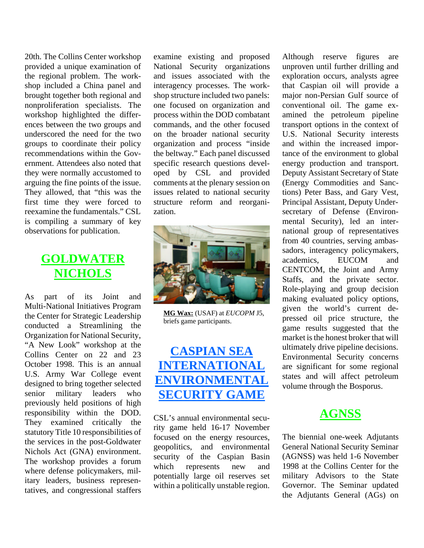20th. The Collins Center workshop provided a unique examination of the regional problem. The workshop included a China panel and brought together both regional and nonproliferation specialists. The workshop highlighted the differences between the two groups and underscored the need for the two groups to coordinate their policy recommendations within the Government. Attendees also noted that they were normally accustomed to arguing the fine points of the issue. They allowed, that "this was the first time they were forced to reexamine the fundamentals." CSL is compiling a summary of key observations for publication.

#### **GOLDWATER NICHOLS**

As part of its Joint and Multi-National Initiatives Program the Center for Strategic Leadership conducted a Streamlining the Organization for National Security, "A New Look" workshop at the Collins Center on 22 and 23 October 1998. This is an annual U.S. Army War College event designed to bring together selected senior military leaders who previously held positions of high responsibility within the DOD. They examined critically the statutory Title 10 responsibilities of the services in the post-Goldwater Nichols Act (GNA) environment. The workshop provides a forum where defense policymakers, military leaders, business representatives, and congressional staffers

examine existing and proposed National Security organizations and issues associated with the interagency processes. The workshop structure included two panels: one focused on organization and process within the DOD combatant commands, and the other focused on the broader national security organization and process "inside the beltway." Each panel discussed specific research questions developed by CSL and provided comments at the plenary session on issues related to national security structure reform and reorganization.



**MG Wax:** (USAF) at *EUCOPM* J5, briefs game participants.

### **CASPIAN SEA INTERNATIONAL ENVIRONMENTAL SECURITY GAME**

CSL's annual environmental security game held 16-17 November focused on the energy resources, geopolitics, and environmental security of the Caspian Basin which represents new and potentially large oil reserves set within a politically unstable region.

Although reserve figures are unproven until further drilling and exploration occurs, analysts agree that Caspian oil will provide a major non-Persian Gulf source of conventional oil. The game examined the petroleum pipeline transport options in the context of U.S. National Security interests and within the increased importance of the environment to global energy production and transport. Deputy Assistant Secretary of State (Energy Commodities and Sanctions) Peter Bass, and Gary Vest, Principal Assistant, Deputy Undersecretary of Defense (Environmental Security), led an international group of representatives from 40 countries, serving ambassadors, interagency policymakers,<br>academics. EUCOM and academics, EUCOM and CENTCOM, the Joint and Army Staffs, and the private sector. Role-playing and group decision making evaluated policy options, given the world's current depressed oil price structure, the game results suggested that the market is the honest broker that will ultimately drive pipeline decisions. Environmental Security concerns are significant for some regional states and will affect petroleum volume through the Bosporus.

#### **AGNSS**

The biennial one-week Adjutants General National Security Seminar (AGNSS) was held 1-6 November 1998 at the Collins Center for the military Advisors to the State Governor. The Seminar updated the Adjutants General (AGs) on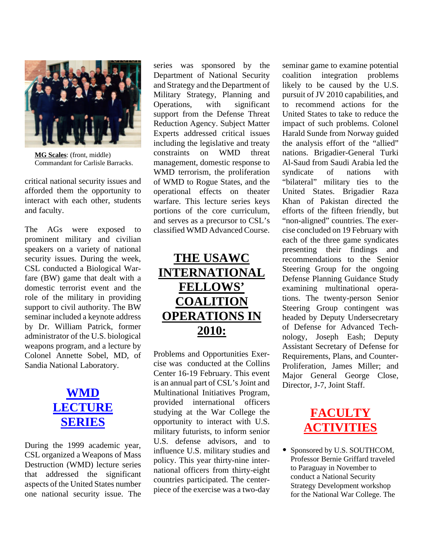

**MG Scales**: (front, middle) Commandant for Carlisle Barracks.

critical national security issues and afforded them the opportunity to interact with each other, students and faculty.

The AGs were exposed to prominent military and civilian speakers on a variety of national security issues. During the week, CSL conducted a Biological Warfare (BW) game that dealt with a domestic terrorist event and the role of the military in providing support to civil authority. The BW seminar included a keynote address by Dr. William Patrick, former administrator of the U.S. biological weapons program, and a lecture by Colonel Annette Sobel, MD, of Sandia National Laboratory.

#### **WMD LECTURE SERIES**

During the 1999 academic year, CSL organized a Weapons of Mass Destruction (WMD) lecture series that addressed the significant aspects of the United States number one national security issue. The

series was sponsored by the Department of National Security and Strategy and the Department of Military Strategy, Planning and Operations, with significant support from the Defense Threat Reduction Agency. Subject Matter Experts addressed critical issues including the legislative and treaty constraints on WMD threat management, domestic response to WMD terrorism, the proliferation of WMD to Rogue States, and the operational effects on theater warfare. This lecture series keys portions of the core curriculum, and serves as a precursor to CSL's classified WMD Advanced Course.

## **THE USAWC INTERNATIONAL FELLOWS' COALITION OPERATIONS IN 2010:**

Problems and Opportunities Exercise was conducted at the Collins Center 16-19 February. This event is an annual part of CSL's Joint and Multinational Initiatives Program, provided international officers studying at the War College the opportunity to interact with U.S. military futurists, to inform senior U.S. defense advisors, and to influence U.S. military studies and policy. This year thirty-nine international officers from thirty-eight countries participated. The centerpiece of the exercise was a two-day

seminar game to examine potential coalition integration problems likely to be caused by the U.S. pursuit of JV 2010 capabilities, and to recommend actions for the United States to take to reduce the impact of such problems. Colonel Harald Sunde from Norway guided the analysis effort of the "allied" nations. Brigadier-General Turki Al-Saud from Saudi Arabia led the syndicate of nations with "bilateral" military ties to the United States. Brigadier Raza Khan of Pakistan directed the efforts of the fifteen friendly, but "non-aligned" countries. The exercise concluded on 19 February with each of the three game syndicates presenting their findings and recommendations to the Senior Steering Group for the ongoing Defense Planning Guidance Study examining multinational operations. The twenty-person Senior Steering Group contingent was headed by Deputy Undersecretary of Defense for Advanced Technology, Joseph Eash; Deputy Assistant Secretary of Defense for Requirements, Plans, and Counter-Proliferation, James Miller; and Major General George Close, Director, J-7, Joint Staff.



• Sponsored by U.S. SOUTHCOM, Professor Bernie Griffard traveled to Paraguay in November to conduct a National Security Strategy Development workshop for the National War College. The